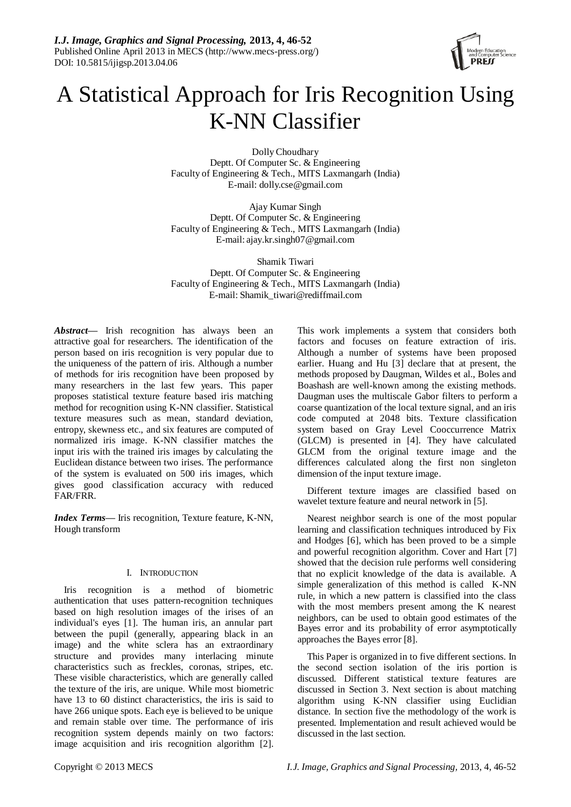

# A Statistical Approach for Iris Recognition Using K-NN Classifier

Dolly Choudhary Deptt. Of Computer Sc. & Engineering Faculty of Engineering & Tech., MITS Laxmangarh (India) E-mail: dolly.cse@gmail.com

Ajay Kumar Singh Deptt. Of Computer Sc. & Engineering Faculty of Engineering & Tech., MITS Laxmangarh (India) E-mail: ajay.kr.singh07@gmail.com

Shamik Tiwari Deptt. Of Computer Sc. & Engineering Faculty of Engineering & Tech., MITS Laxmangarh (India) E-mail: Shamik\_tiwari@rediffmail.com

*Abstract***—** Irish recognition has always been an attractive goal for researchers. The identification of the person based on iris recognition is very popular due to the uniqueness of the pattern of iris. Although a number of methods for iris recognition have been proposed by many researchers in the last few years. This paper proposes statistical texture feature based iris matching method for recognition using K-NN classifier. Statistical texture measures such as mean, standard deviation, entropy, skewness etc., and six features are computed of normalized iris image. K-NN classifier matches the input iris with the trained iris images by calculating the Euclidean distance between two irises. The performance of the system is evaluated on 500 iris images, which gives good classification accuracy with reduced FAR/FRR.

*Index Terms*— Iris recognition, Texture feature, K-NN, Hough transform

## I. INTRODUCTION

Iris recognition is a method of biometric authentication that uses pattern-recognition techniques based on high resolution images of the irises of an individual's eyes [1]. The human iris, an annular part between the pupil (generally, appearing black in an image) and the white sclera has an extraordinary structure and provides many interlacing minute characteristics such as freckles, coronas, stripes, etc. These visible characteristics, which are generally called the texture of the iris, are unique. While most biometric have 13 to 60 distinct characteristics, the iris is said to have 266 unique spots. Each eye is believed to be unique and remain stable over time. The performance of iris recognition system depends mainly on two factors: image acquisition and iris recognition algorithm [2].

This work implements a system that considers both factors and focuses on feature extraction of iris. Although a number of systems have been proposed earlier. Huang and Hu [3] declare that at present, the methods proposed by Daugman, Wildes et al., Boles and Boashash are well-known among the existing methods. Daugman uses the multiscale Gabor filters to perform a coarse quantization of the local texture signal, and an iris code computed at 2048 bits. Texture classification system based on Gray Level Cooccurrence Matrix (GLCM) is presented in [4]. They have calculated GLCM from the original texture image and the differences calculated along the first non singleton dimension of the input texture image.

Different texture images are classified based on wavelet texture feature and neural network in [5].

Nearest neighbor search is one of the most popular learning and classification techniques introduced by Fix and Hodges [6], which has been proved to be a simple and powerful recognition algorithm. Cover and Hart [7] showed that the decision rule performs well considering that no explicit knowledge of the data is available. A simple generalization of this method is called K-NN rule, in which a new pattern is classified into the class with the most members present among the K nearest neighbors, can be used to obtain good estimates of the Bayes error and its probability of error asymptotically approaches the Bayes error [8].

This Paper is organized in to five different sections. In the second section isolation of the iris portion is discussed. Different statistical texture features are discussed in Section 3. Next section is about matching algorithm using K-NN classifier using Euclidian distance. In section five the methodology of the work is presented. Implementation and result achieved would be discussed in the last section.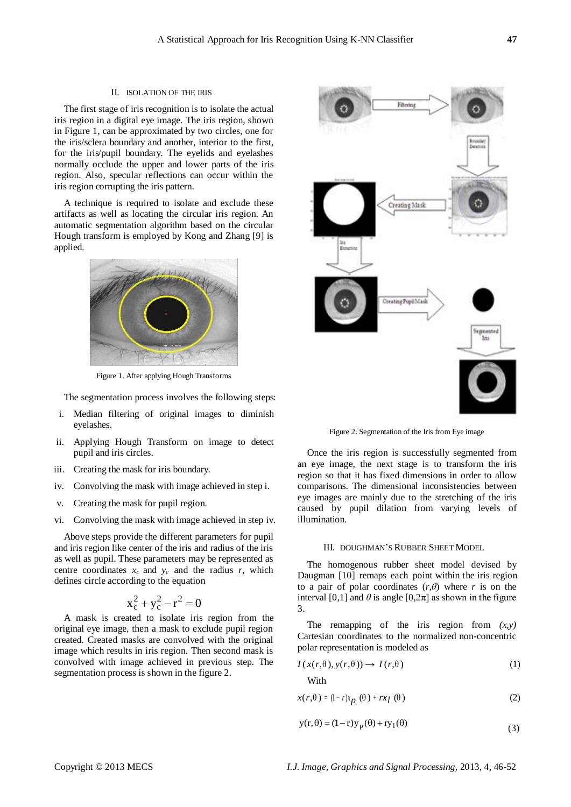## II. ISOLATION OF THE IRIS

The first stage of iris recognition is to isolate the actual iris region in a digital eye image. The iris region, shown in Figure 1, can be approximated by two circles, one for the iris/sclera boundary and another, interior to the first, for the iris/pupil boundary. The eyelids and eyelashes normally occlude the upper and lower parts of the iris region. Also, specular reflections can occur within the iris region corrupting the iris pattern.

A technique is required to isolate and exclude these artifacts as well as locating the circular iris region. An automatic segmentation algorithm based on the circular Hough transform is employed by Kong and Zhang [9] is applied.



Figure 1. After applying Hough Transforms

The segmentation process involves the following steps:

- i. Median filtering of original images to diminish eyelashes.
- ii. Applying Hough Transform on image to detect pupil and iris circles.
- iii. Creating the mask for iris boundary.
- iv. Convolving the mask with image achieved in step i.
- v. Creating the mask for pupil region.
- vi. Convolving the mask with image achieved in step iv.

Above steps provide the different parameters for pupil and iris region like center of the iris and radius of the iris as well as pupil. These parameters may be represented as centre coordinates  $x_c$  and  $y_c$  and the radius *r*, which defines circle according to the equation

$$
x_c^2 + y_c^2 - r^2 = 0
$$

A mask is created to isolate iris region from the original eye image, then a mask to exclude pupil region created. Created masks are convolved with the original image which results in iris region. Then second mask is convolved with image achieved in previous step. The segmentation process is shown in the figure 2.



Figure 2. Segmentation of the Iris from Eye image

Once the iris region is successfully segmented from an eye image, the next stage is to transform the iris region so that it has fixed dimensions in order to allow comparisons. The dimensional inconsistencies between eye images are mainly due to the stretching of the iris caused by pupil dilation from varying levels of illumination.

#### III. DOUGHMAN'S RUBBER SHEET MODEL

The homogenous rubber sheet model devised by Daugman [10] remaps each point within the iris region to a pair of polar coordinates (*r,θ*) where *r* is on the interval [0,1] and  $\theta$  is angle [0,2 $\pi$ ] as shown in the figure 3.

The remapping of the iris region from  $(x, y)$ Cartesian coordinates to the normalized non-concentric polar representation is modeled as

$$
I(x(r, \theta), y(r, \theta)) \to I(r, \theta)
$$
\n(1)

With

$$
x(r,\theta) = (1-r)x_p(\theta) + rx_l(\theta)
$$
 (2)

$$
y(r,\theta) = (1-r)y_p(\theta) + ry_1(\theta)
$$
\n(3)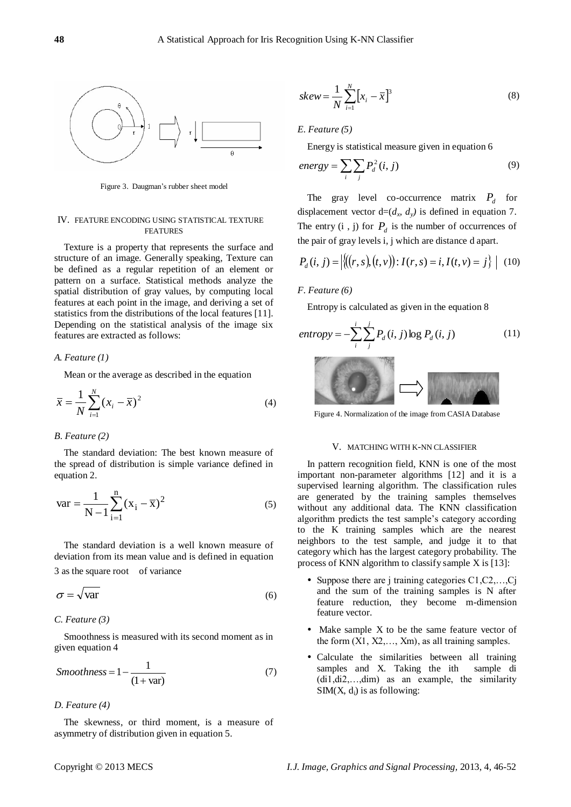

Figure 3. Daugman's rubber sheet model

#### IV. FEATURE ENCODING USING STATISTICAL TEXTURE **FEATURES**

Texture is a property that represents the surface and structure of an image. Generally speaking, Texture can be defined as a regular repetition of an element or pattern on a surface. Statistical methods analyze the spatial distribution of gray values, by computing local features at each point in the image, and deriving a set of statistics from the distributions of the local features [11]. Depending on the statistical analysis of the image six features are extracted as follows:

## *A. Feature (1)*

Mean or the average as described in the equation

$$
\bar{x} = \frac{1}{N} \sum_{i=1}^{N} (x_i - \bar{x})^2
$$
 (4)

## *B. Feature (2)*

The standard deviation: The best known measure of the spread of distribution is simple variance defined in equation 2.

$$
var = \frac{1}{N - 1} \sum_{i=1}^{n} (x_i - \overline{x})^2
$$
 (5)

 The standard deviation is a well known measure of deviation from its mean value and is defined in equation 3 as the square root of variance

$$
\sigma = \sqrt{\text{var}} \tag{6}
$$

#### *C. Feature (3)*

Smoothness is measured with its second moment as in given equation 4

$$
Smoothness = 1 - \frac{1}{(1 + var)}
$$
\n<sup>(7)</sup>

## *D. Feature (4)*

The skewness, or third moment, is a measure of asymmetry of distribution given in equation 5.

$$
skew = \frac{1}{N} \sum_{i=1}^{N} \left[ x_i - \overline{x} \right]^3
$$
\n(8)

## *E. Feature (5)*

Energy is statistical measure given in equation 6

$$
energy = \sum_{i} \sum_{j} P_{d}^{2}(i, j)
$$
\n(9)

The gray level co-occurrence matrix  $P_d$  for displacement vector  $d=(d_x, d_y)$  is defined in equation 7. The entry  $(i, j)$  for  $P_d$  is the number of occurrences of the pair of gray levels i, j which are distance d apart.

$$
P_d(i, j) = |\{(r, s), (t, v)\} : I(r, s) = i, I(t, v) = j\}| \quad (10)
$$

## *F. Feature (6)*

Entropy is calculated as given in the equation 8

$$
entropy = -\sum_{i}^{i} \sum_{j}^{j} P_{d}(i, j) \log P_{d}(i, j)
$$
(11)

Figure 4. Normalization of the image from CASIA Database

 $\mathbf{r}$ 

#### V. MATCHING WITH K-NN CLASSIFIER

In pattern recognition field, KNN is one of the most important non-parameter algorithms [12] and it is a supervised learning algorithm. The classification rules are generated by the training samples themselves without any additional data. The KNN classification algorithm predicts the test sample's category according to the K training samples which are the nearest neighbors to the test sample, and judge it to that category which has the largest category probability. The process of KNN algorithm to classify sample X is [13]:

- Suppose there are j training categories  $C1, C2, \ldots, Cj$ and the sum of the training samples is N after feature reduction, they become m-dimension feature vector.
- Make sample X to be the same feature vector of the form  $(X1, X2, \ldots, Xm)$ , as all training samples.
- Calculate the similarities between all training samples and X. Taking the ith sample di (di1,di2,…,dim) as an example, the similarity  $SIM(X, d<sub>i</sub>)$  is as following: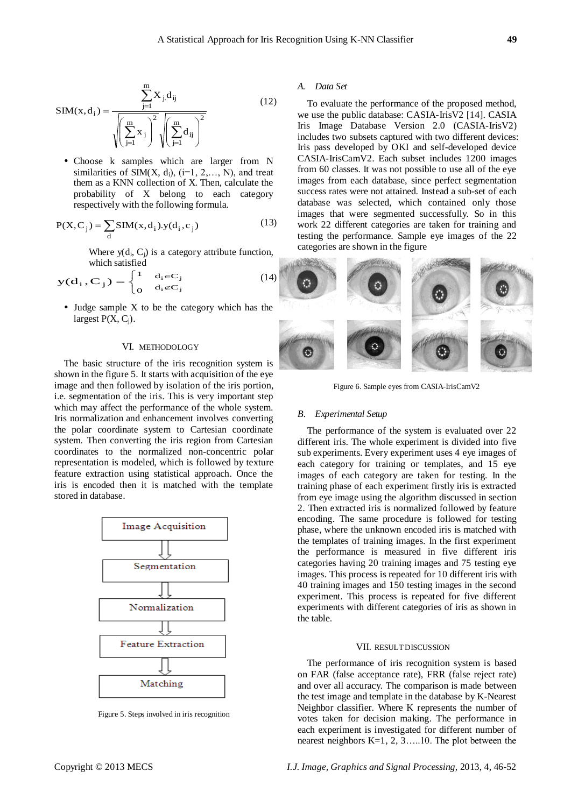$$
SIM(x, d_i) = \frac{\sum_{j=1}^{m} X_j d_{ij}}{\sqrt{\left(\sum_{j=1}^{m} x_j\right)^2} \sqrt{\left(\sum_{j=1}^{m} d_{ij}\right)^2}}
$$
(12)

 Choose k samples which are larger from N similarities of  $SIM(X, d_i), (i=1, 2, \ldots, N)$ , and treat them as a KNN collection of X. Then, calculate the probability of X belong to each category respectively with the following formula.

$$
P(X, C_j) = \sum_{d} SIM(x, d_i).y(d_i, c_j)
$$
 (13)

Where  $y(d_i, C_j)$  is a category attribute function, which satisfied

$$
y(d_i, C_j) = \begin{cases} 1 & d_i \in C_j \\ 0 & d_i \notin C_j \end{cases}
$$
 (14)

• Judge sample X to be the category which has the largest  $P(X, C_i)$ .

#### VI. METHODOLOGY

The basic structure of the iris recognition system is shown in the figure 5. It starts with acquisition of the eye image and then followed by isolation of the iris portion, i.e. segmentation of the iris. This is very important step which may affect the performance of the whole system. Iris normalization and enhancement involves converting the polar coordinate system to Cartesian coordinate system. Then converting the iris region from Cartesian coordinates to the normalized non-concentric polar representation is modeled, which is followed by texture feature extraction using statistical approach. Once the iris is encoded then it is matched with the template stored in database.



Figure 5. Steps involved in iris recognition

#### *A. Data Set*

To evaluate the performance of the proposed method, we use the public database: CASIA-IrisV2 [14]. CASIA Iris Image Database Version 2.0 (CASIA-IrisV2) includes two subsets captured with two different devices: Iris pass developed by OKI and self-developed device CASIA-IrisCamV2. Each subset includes 1200 images from 60 classes. It was not possible to use all of the eye images from each database, since perfect segmentation success rates were not attained. Instead a sub-set of each database was selected, which contained only those images that were segmented successfully. So in this work 22 different categories are taken for training and testing the performance. Sample eye images of the 22 categories are shown in the figure



Figure 6. Sample eyes from CASIA-IrisCamV2

### *B. Experimental Setup*

The performance of the system is evaluated over 22 different iris. The whole experiment is divided into five sub experiments. Every experiment uses 4 eye images of each category for training or templates, and 15 eye images of each category are taken for testing. In the training phase of each experiment firstly iris is extracted from eye image using the algorithm discussed in section 2. Then extracted iris is normalized followed by feature encoding. The same procedure is followed for testing phase, where the unknown encoded iris is matched with the templates of training images. In the first experiment the performance is measured in five different iris categories having 20 training images and 75 testing eye images. This process is repeated for 10 different iris with 40 training images and 150 testing images in the second experiment. This process is repeated for five different experiments with different categories of iris as shown in the table.

## VII. RESULT DISCUSSION

The performance of iris recognition system is based on FAR (false acceptance rate), FRR (false reject rate) and over all accuracy. The comparison is made between the test image and template in the database by K-Nearest Neighbor classifier. Where K represents the number of votes taken for decision making. The performance in each experiment is investigated for different number of nearest neighbors  $K=1, 2, 3, \ldots, 10$ . The plot between the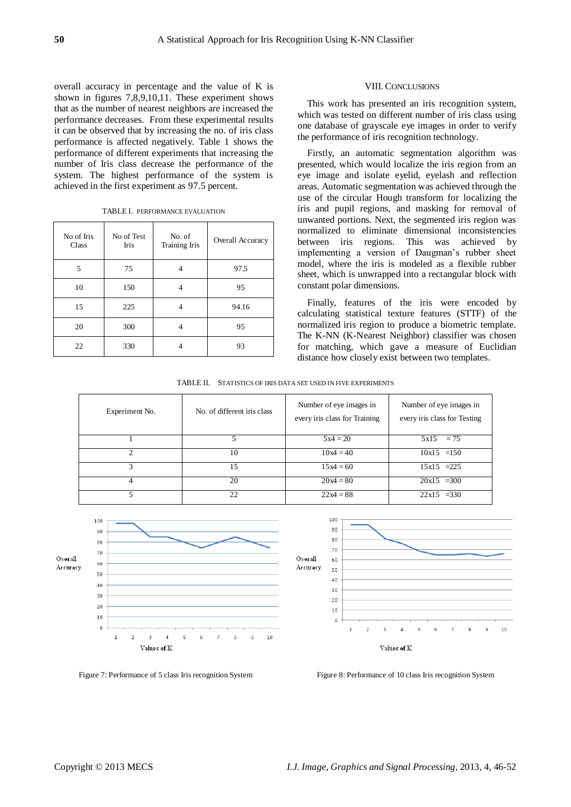overall accuracy in percentage and the value of K is shown in figures 7,8,9,10,11. These experiment shows that as the number of nearest neighbors are increased the performance decreases. From these experimental results it can be observed that by increasing the no. of iris class performance is affected negatively. Table 1 shows the performance of different experiments that increasing the number of Iris class decrease the performance of the system. The highest performance of the system is achieved in the first experiment as 97.5 percent.

|  | TABLE I. PERFORMANCE EVALUATION |
|--|---------------------------------|
|--|---------------------------------|

| No of Iris<br>Class | No of Test<br>Iris | No. of<br>Training Iris | Overall Accuracy |
|---------------------|--------------------|-------------------------|------------------|
| 5                   | 75                 |                         | 97.5             |
| 10                  | 150                | 4                       | 95               |
| 15                  | 225                |                         | 94.16            |
| 20                  | 300                |                         | 95               |
| 22                  | 330                |                         | 93               |

#### VIII. CONCLUSIONS

This work has presented an iris recognition system, which was tested on different number of iris class using one database of grayscale eye images in order to verify the performance of iris recognition technology.

Firstly, an automatic segmentation algorithm was presented, which would localize the iris region from an eye image and isolate eyelid, eyelash and reflection areas. Automatic segmentation was achieved through the use of the circular Hough transform for localizing the iris and pupil regions, and masking for removal of unwanted portions. Next, the segmented iris region was normalized to eliminate dimensional inconsistencies between iris regions. This was achieved by implementing a version of Daugman's rubber sheet model, where the iris is modeled as a flexible rubber sheet, which is unwrapped into a rectangular block with constant polar dimensions.

Finally, features of the iris were encoded by calculating statistical texture features (STTF) of the normalized iris region to produce a biometric template. The K-NN (K-Nearest Neighbor) classifier was chosen for matching, which gave a measure of Euclidian distance how closely exist between two templates.

TABLE II. STATISTICS OF IRIS DATA SET USED IN FIVE EXPERIMENTS

| Experiment No. | No. of different iris class | Number of eye images in<br>every iris class for Training | Number of eye images in<br>every iris class for Testing |
|----------------|-----------------------------|----------------------------------------------------------|---------------------------------------------------------|
|                |                             | $5x4 = 20$                                               | $5x15 = 75$                                             |
|                | 10                          | $10x4 = 40$                                              | $10x15 = 150$                                           |
|                | 15                          | $15x4 = 60$                                              | $15x15 = 225$                                           |
| 4              | 20                          | $20x4 = 80$                                              | $20x15 = 300$                                           |
|                | 22                          | $22x4 = 88$                                              | $22x15 = 330$                                           |



Figure 7: Performance of 5 class Iris recognition System Figure 8: Performance of 10 class Iris recognition System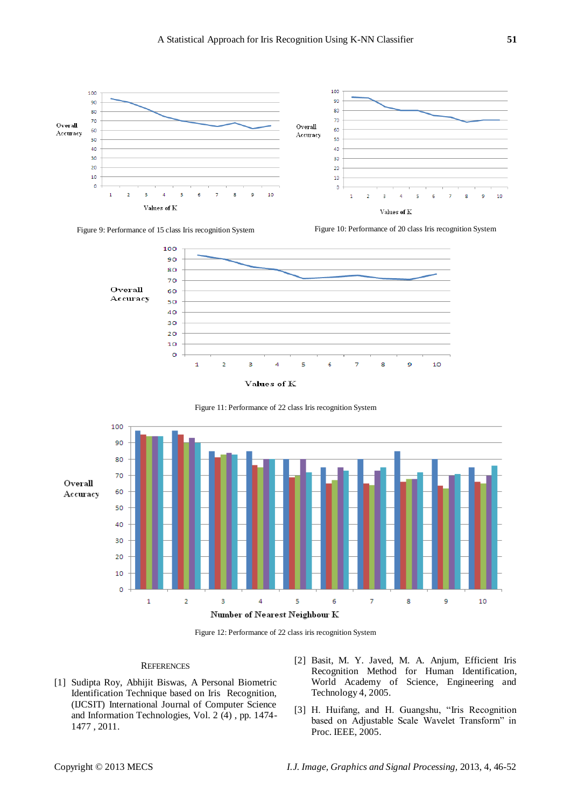















## **REFERENCES**

- [1] Sudipta Roy, Abhijit Biswas, A Personal Biometric Identification Technique based on Iris Recognition, (IJCSIT) International Journal of Computer Science and Information Technologies, Vol. 2 (4) , pp. 1474- 1477 , 2011.
- [2] Basit, M. Y. Javed, M. A. Anjum, Efficient Iris Recognition Method for Human Identification, World Academy of Science, Engineering and Technology 4, 2005.
- [3] H. Huifang, and H. Guangshu, "Iris Recognition based on Adjustable Scale Wavelet Transform" in Proc. IEEE, 2005.